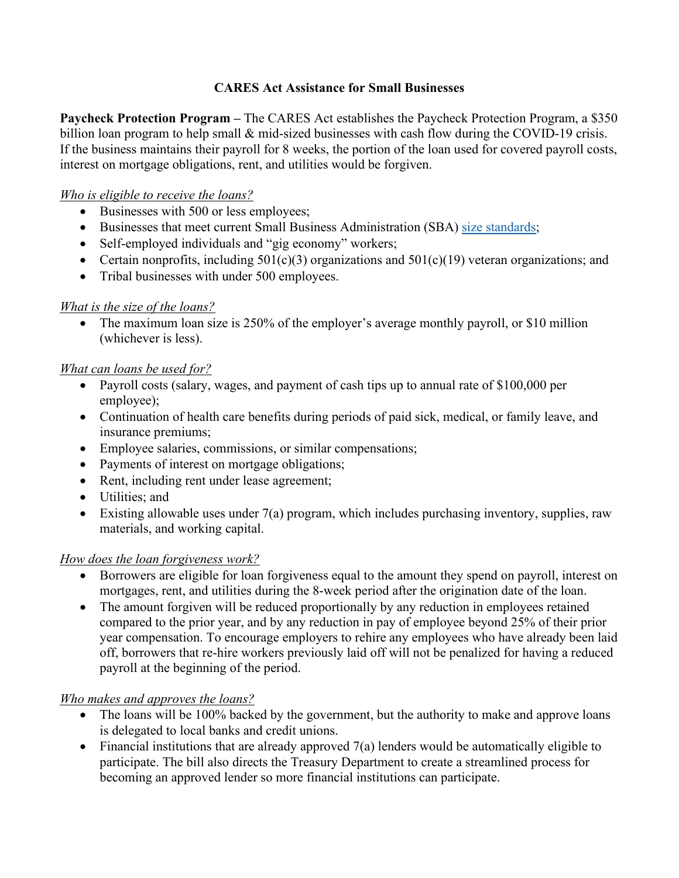### **CARES Act Assistance for Small Businesses**

**Paycheck Protection Program –** The CARES Act establishes the Paycheck Protection Program, a \$350 billion loan program to help small & mid-sized businesses with cash flow during the COVID-19 crisis. If the business maintains their payroll for 8 weeks, the portion of the loan used for covered payroll costs, interest on mortgage obligations, rent, and utilities would be forgiven.

### *Who is eligible to receive the loans?*

- Businesses with 500 or less employees;
- Businesses that meet current Small Business Administration (SBA) [size standards;](https://www.sba.gov/size-standards/)
- Self-employed individuals and "gig economy" workers;
- Certain nonprofits, including  $501(c)(3)$  organizations and  $501(c)(19)$  veteran organizations; and
- Tribal businesses with under 500 employees.

## *What is the size of the loans?*

• The maximum loan size is 250% of the employer's average monthly payroll, or \$10 million (whichever is less).

## *What can loans be used for?*

- Payroll costs (salary, wages, and payment of cash tips up to annual rate of \$100,000 per employee);
- Continuation of health care benefits during periods of paid sick, medical, or family leave, and insurance premiums;
- Employee salaries, commissions, or similar compensations;
- Payments of interest on mortgage obligations;
- Rent, including rent under lease agreement;
- Utilities; and
- Existing allowable uses under 7(a) program, which includes purchasing inventory, supplies, raw materials, and working capital.

# *How does the loan forgiveness work?*

- Borrowers are eligible for loan forgiveness equal to the amount they spend on payroll, interest on mortgages, rent, and utilities during the 8-week period after the origination date of the loan.
- The amount forgiven will be reduced proportionally by any reduction in employees retained compared to the prior year, and by any reduction in pay of employee beyond 25% of their prior year compensation. To encourage employers to rehire any employees who have already been laid off, borrowers that re-hire workers previously laid off will not be penalized for having a reduced payroll at the beginning of the period.

# *Who makes and approves the loans?*

- The loans will be 100% backed by the government, but the authority to make and approve loans is delegated to local banks and credit unions.
- Financial institutions that are already approved 7(a) lenders would be automatically eligible to participate. The bill also directs the Treasury Department to create a streamlined process for becoming an approved lender so more financial institutions can participate.